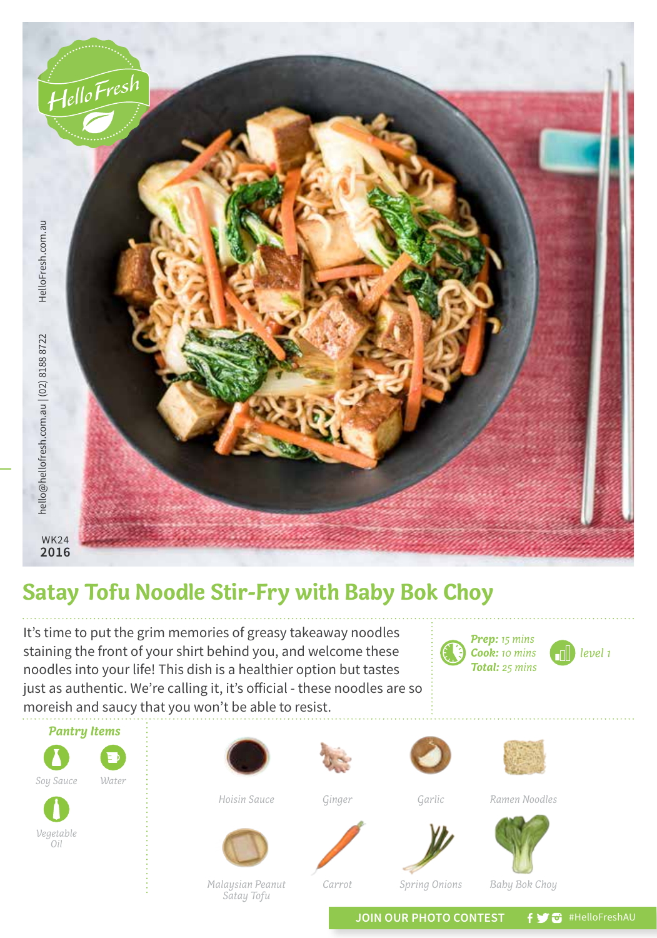

## **Satay Tofu Noodle Stir-Fry with Baby Bok Choy**

It's time to put the grim memories of greasy takeaway noodles staining the front of your shirt behind you, and welcome these noodles into your life! This dish is a healthier option but tastes just as authentic. We're calling it, it's official - these noodles are so moreish and saucy that you won't be able to resist.





*Vegetable Oil*

> *Malaysian Peanut Satay Tofu*

*Carrot*

*Spring Onions Baby Bok Choy*

JOIN OUR PHOTO CONTEST **f y** a #HelloFreshAU

*Prep: 15 mins Cook: 10 mins Total: 25 mins*

*level 1*